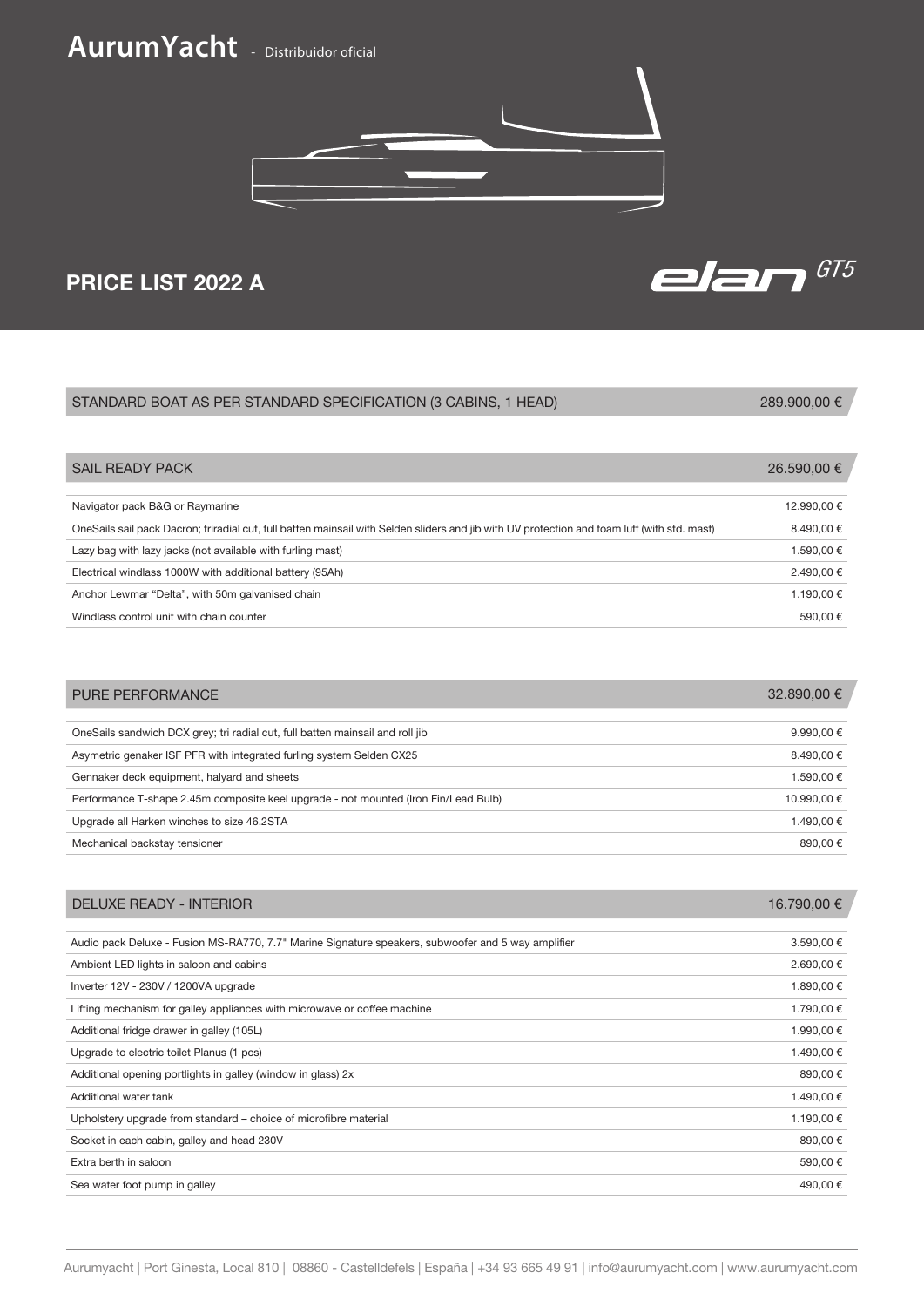## **AurumYacht** - Distribuidor oficial



# PRICE LIST 2022 A GTS

## STANDARD BOAT AS PER STANDARD SPECIFICATION (3 CABINS, 1 HEAD)

289.900,00 €

| <b>SAIL READY PACK</b>                                                                                                                       | 26.590,00 € |
|----------------------------------------------------------------------------------------------------------------------------------------------|-------------|
|                                                                                                                                              |             |
| Navigator pack B&G or Raymarine                                                                                                              | 12.990.00 € |
| OneSails sail pack Dacron; triradial cut, full batten mainsail with Selden sliders and jib with UV protection and foam luff (with std. mast) | 8.490,00 €  |
| Lazy bag with lazy jacks (not available with furling mast)                                                                                   | 1.590,00 €  |
| Electrical windlass 1000W with additional battery (95Ah)                                                                                     | 2.490,00 €  |
| Anchor Lewmar "Delta", with 50m galvanised chain                                                                                             | 1.190,00 €  |
| Windlass control unit with chain counter                                                                                                     | 590,00 €    |
|                                                                                                                                              |             |

| <b>PURE PERFORMANCE</b>                                                             | $32.890,00 \in$     |
|-------------------------------------------------------------------------------------|---------------------|
|                                                                                     |                     |
| OneSails sandwich DCX grey; tri radial cut, full batten mainsail and roll jib       | 9.990,00 $\epsilon$ |
| Asymetric genaker ISF PFR with integrated furling system Selden CX25                | 8.490.00 €          |
| Gennaker deck equipment, halyard and sheets                                         | 1.590.00 €          |
| Performance T-shape 2.45m composite keel upgrade - not mounted (Iron Fin/Lead Bulb) | 10.990.00 €         |
| Upgrade all Harken winches to size 46.2STA                                          | 1.490.00 €          |
| Mechanical backstay tensioner                                                       | 890.00 €            |

| DELUXE READY - INTERIOR                                                                            | 16.790,00 € |
|----------------------------------------------------------------------------------------------------|-------------|
|                                                                                                    |             |
| Audio pack Deluxe - Fusion MS-RA770, 7.7" Marine Signature speakers, subwoofer and 5 way amplifier | 3.590,00 €  |
| Ambient LED lights in saloon and cabins                                                            | 2.690,00 €  |
| Inverter 12V - 230V / 1200VA upgrade                                                               | 1.890,00 €  |
| Lifting mechanism for galley appliances with microwave or coffee machine                           | 1.790,00 €  |
| Additional fridge drawer in galley (105L)                                                          | 1.990,00 €  |
| Upgrade to electric toilet Planus (1 pcs)                                                          | 1.490,00 €  |
| Additional opening portlights in galley (window in glass) 2x                                       | 890,00 €    |
| Additional water tank                                                                              | 1.490,00 €  |
| Upholstery upgrade from standard – choice of microfibre material                                   | 1.190,00 €  |
| Socket in each cabin, galley and head 230V                                                         | 890,00 €    |
| Extra berth in saloon                                                                              | 590,00 €    |
| Sea water foot pump in galley                                                                      | 490,00 €    |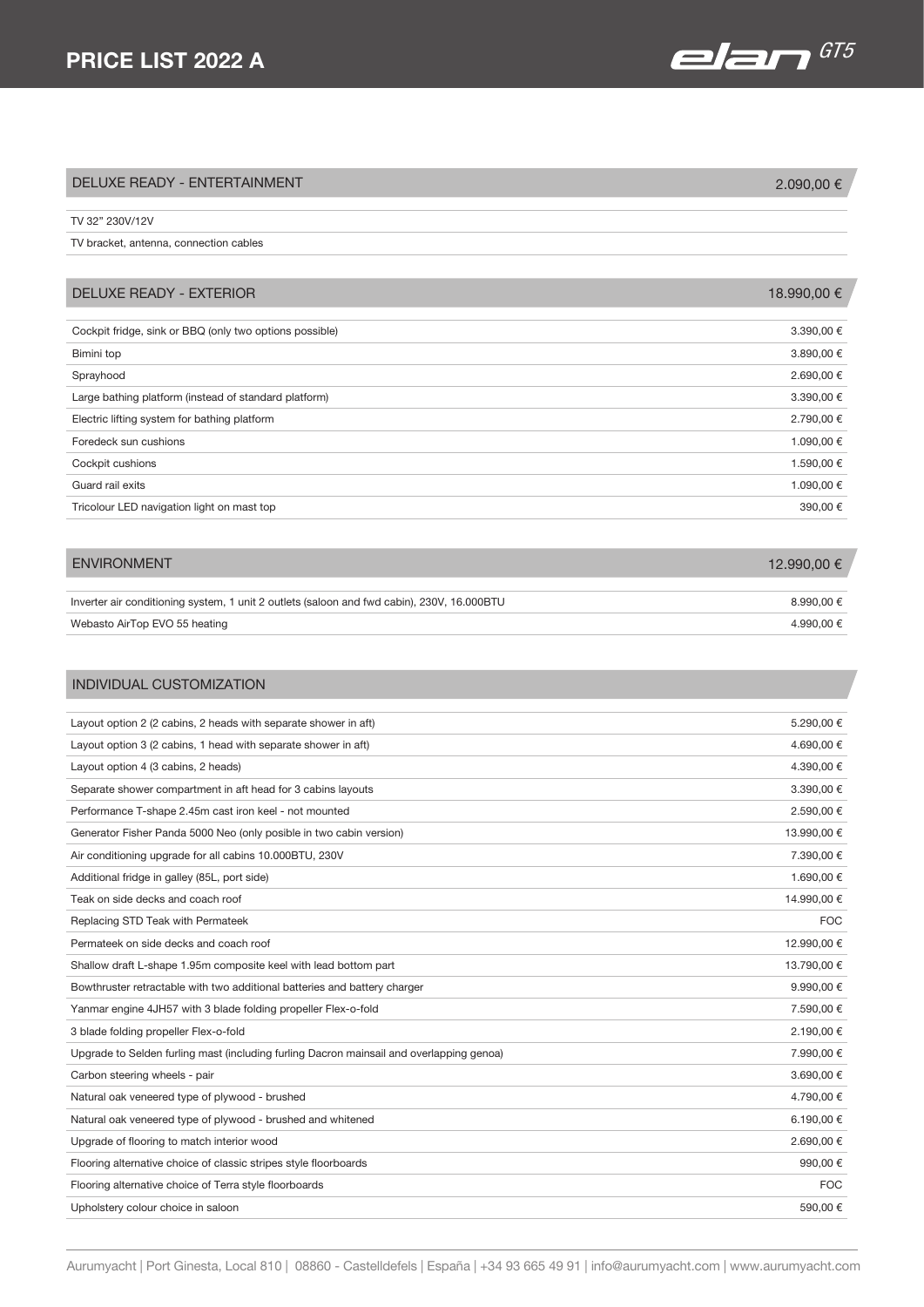# PRICE LIST 2022 A  $\overline{G1}$

| <b>DELUXE READY - ENTERTAINMENT</b>                     | 2.090,00 €  |
|---------------------------------------------------------|-------------|
|                                                         |             |
| TV 32" 230V/12V                                         |             |
| TV bracket, antenna, connection cables                  |             |
|                                                         |             |
| <b>DELUXE READY - EXTERIOR</b>                          | 18.990,00 € |
|                                                         |             |
| Cockpit fridge, sink or BBQ (only two options possible) | 3.390,00 €  |
| Bimini top                                              | 3.890,00 €  |
| Sprayhood                                               | 2.690,00 €  |
| Large bathing platform (instead of standard platform)   | 3.390,00 €  |
| Electric lifting system for bathing platform            | 2.790,00 €  |
| Foredeck sun cushions                                   | 1.090,00 €  |
| Cockpit cushions                                        | 1.590,00 €  |
| Guard rail exits                                        | 1.090,00 €  |
| Tricolour LED navigation light on mast top              | 390,00 €    |
|                                                         |             |

| <b>ENVIRONMENT</b>                                                                         | 12,990,00 € |
|--------------------------------------------------------------------------------------------|-------------|
|                                                                                            |             |
| Inverter air conditioning system, 1 unit 2 outlets (saloon and fwd cabin), 230V, 16.000BTU | 8.990.00 €  |
| Webasto AirTop EVO 55 heating                                                              | 4.990.00 €  |

## INDIVIDUAL CUSTOMIZATION

| Layout option 2 (2 cabins, 2 heads with separate shower in aft)                          | 5.290.00 €  |
|------------------------------------------------------------------------------------------|-------------|
| Layout option 3 (2 cabins, 1 head with separate shower in aft)                           | 4.690,00 €  |
| Layout option 4 (3 cabins, 2 heads)                                                      | 4.390,00 €  |
| Separate shower compartment in aft head for 3 cabins layouts                             | 3.390,00 €  |
| Performance T-shape 2.45m cast iron keel - not mounted                                   | 2.590,00 €  |
| Generator Fisher Panda 5000 Neo (only posible in two cabin version)                      | 13.990,00 € |
| Air conditioning upgrade for all cabins 10.000BTU, 230V                                  | 7.390,00 €  |
| Additional fridge in galley (85L, port side)                                             | 1.690,00 €  |
| Teak on side decks and coach roof                                                        | 14.990.00 € |
| Replacing STD Teak with Permateek                                                        | <b>FOC</b>  |
| Permateek on side decks and coach roof                                                   | 12.990,00 € |
| Shallow draft L-shape 1.95m composite keel with lead bottom part                         | 13.790,00 € |
| Bowthruster retractable with two additional batteries and battery charger                | 9.990,00€   |
| Yanmar engine 4JH57 with 3 blade folding propeller Flex-o-fold                           | 7.590,00 €  |
| 3 blade folding propeller Flex-o-fold                                                    | 2.190,00 €  |
| Upgrade to Selden furling mast (including furling Dacron mainsail and overlapping genoa) | 7.990,00 €  |
| Carbon steering wheels - pair                                                            | 3.690,00 €  |
| Natural oak veneered type of plywood - brushed                                           | 4.790,00 €  |
| Natural oak veneered type of plywood - brushed and whitened                              | 6.190,00 €  |
| Upgrade of flooring to match interior wood                                               | 2.690,00€   |
| Flooring alternative choice of classic stripes style floorboards                         | 990,00€     |
| Flooring alternative choice of Terra style floorboards                                   | <b>FOC</b>  |
| Upholstery colour choice in saloon                                                       | 590,00€     |
|                                                                                          |             |